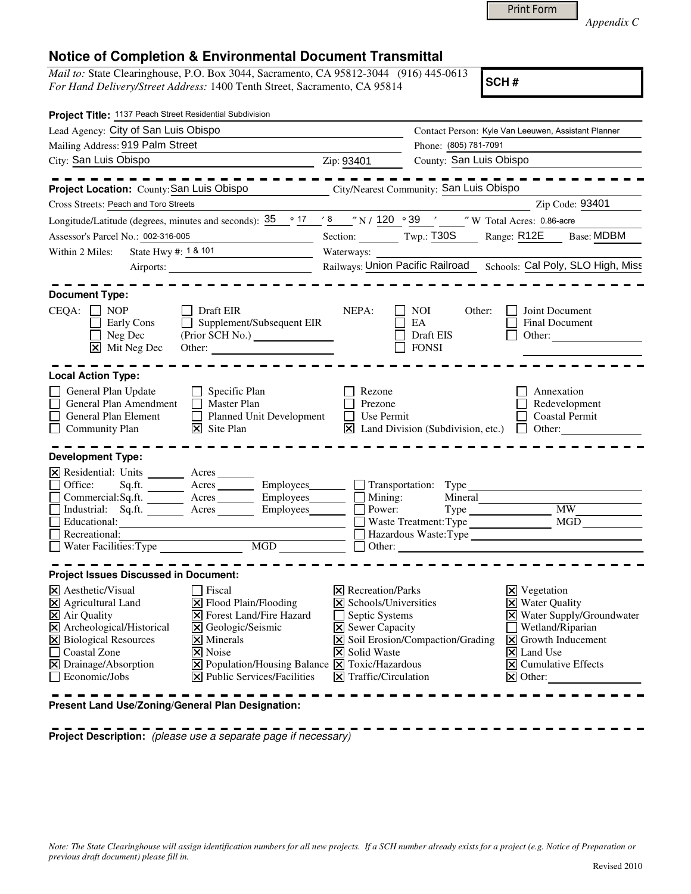| Print Form |
|------------|
|------------|

*Appendix C* 

## **Notice of Completion & Environmental Document Transmittal**

*Mail to:* State Clearinghouse, P.O. Box 3044, Sacramento, CA 95812-3044 (916) 445-0613 *For Hand Delivery/Street Address:* 1400 Tenth Street, Sacramento, CA 95814

**SCH #**

| Project Title: 1137 Peach Street Residential Subdivision                                                                                                                                         |                                                                                                                                                                                                                    |                                                                                                                                                                          |                                                             |                                                                                                                                                                                                                          |
|--------------------------------------------------------------------------------------------------------------------------------------------------------------------------------------------------|--------------------------------------------------------------------------------------------------------------------------------------------------------------------------------------------------------------------|--------------------------------------------------------------------------------------------------------------------------------------------------------------------------|-------------------------------------------------------------|--------------------------------------------------------------------------------------------------------------------------------------------------------------------------------------------------------------------------|
| Lead Agency: City of San Luis Obispo                                                                                                                                                             |                                                                                                                                                                                                                    |                                                                                                                                                                          | Contact Person: Kyle Van Leeuwen, Assistant Planner         |                                                                                                                                                                                                                          |
| Mailing Address: 919 Palm Street                                                                                                                                                                 |                                                                                                                                                                                                                    | Phone: (805) 781-7091                                                                                                                                                    |                                                             |                                                                                                                                                                                                                          |
| City: San Luis Obispo<br>Zip: 93401                                                                                                                                                              |                                                                                                                                                                                                                    |                                                                                                                                                                          | County: San Luis Obispo                                     |                                                                                                                                                                                                                          |
|                                                                                                                                                                                                  |                                                                                                                                                                                                                    |                                                                                                                                                                          |                                                             |                                                                                                                                                                                                                          |
| Project Location: County: San Luis Obispo<br>City/Nearest Community: San Luis Obispo                                                                                                             |                                                                                                                                                                                                                    |                                                                                                                                                                          |                                                             |                                                                                                                                                                                                                          |
| Cross Streets: Peach and Toro Streets                                                                                                                                                            |                                                                                                                                                                                                                    |                                                                                                                                                                          |                                                             | Zip Code: 93401                                                                                                                                                                                                          |
| Longitude/Latitude (degrees, minutes and seconds): $\frac{35}{25}$ <sup>o</sup> $\frac{17}{25}$ & 7 N / 120 <sup>o</sup> 39 ' 7 W Total Acres: 0.86-acre                                         |                                                                                                                                                                                                                    |                                                                                                                                                                          |                                                             |                                                                                                                                                                                                                          |
| Assessor's Parcel No.: 002-316-005                                                                                                                                                               |                                                                                                                                                                                                                    |                                                                                                                                                                          | Section: Twp.: T30S                                         | Range: R12E<br><b>Base: MDBM</b>                                                                                                                                                                                         |
| Within 2 Miles:<br>State Hwy #: 1 & 101                                                                                                                                                          |                                                                                                                                                                                                                    | Waterways:                                                                                                                                                               |                                                             |                                                                                                                                                                                                                          |
|                                                                                                                                                                                                  |                                                                                                                                                                                                                    |                                                                                                                                                                          |                                                             | Railways: Union Pacific Railroad Schools: Cal Poly, SLO High, Miss                                                                                                                                                       |
| <b>Document Type:</b>                                                                                                                                                                            |                                                                                                                                                                                                                    |                                                                                                                                                                          |                                                             |                                                                                                                                                                                                                          |
| $CEQA: \Box NP$<br>Early Cons<br>$\Box$ Neg Dec<br>$\overline{\mathsf{x}}$ Mit Neg Dec                                                                                                           | Draft EIR<br>Supplement/Subsequent EIR                                                                                                                                                                             | NEPA:                                                                                                                                                                    | <b>NOI</b><br>Other:<br>EA<br>Draft EIS<br><b>FONSI</b>     | Joint Document<br>Final Document<br>Other:                                                                                                                                                                               |
| <b>Local Action Type:</b>                                                                                                                                                                        |                                                                                                                                                                                                                    |                                                                                                                                                                          |                                                             |                                                                                                                                                                                                                          |
| General Plan Update<br>General Plan Amendment<br>General Plan Element<br>Community Plan<br><b>Development Type:</b><br>X Residential: Units ________ Acres _______                               | $\Box$ Specific Plan<br>$\Box$ Master Plan<br>Planned Unit Development<br>$ \mathbf{\nabla} $ Site Plan                                                                                                            | Rezone<br>П<br>Prezone<br>П<br>Use Permit                                                                                                                                | $\boxtimes$ Land Division (Subdivision, etc.) $\Box$ Other: | Annexation<br>Redevelopment<br><b>Coastal Permit</b>                                                                                                                                                                     |
| Office:<br>Sq.fit.<br>Commercial:Sq.ft. Acres Employees<br>$\Box$ Industrial:<br>Educational:<br>$\Box$ Recreational:                                                                            | Acres ____________ Employees_________<br>Sq.ft. <u>Acres</u> Acres Employees<br>e MGD                                                                                                                              | $\Box$<br>Mining:<br>Power:<br>$\Box$                                                                                                                                    | $\Box$ Transportation: Type<br>Mineral                      | Type MW MW<br>Hazardous Waste: Type                                                                                                                                                                                      |
| Water Facilities: Type                                                                                                                                                                           |                                                                                                                                                                                                                    |                                                                                                                                                                          |                                                             | Other: $\qquad \qquad$ Other:                                                                                                                                                                                            |
| <b>Project Issues Discussed in Document:</b>                                                                                                                                                     |                                                                                                                                                                                                                    |                                                                                                                                                                          |                                                             |                                                                                                                                                                                                                          |
| $ \mathsf{X} $ Aesthetic/Visual<br>X Agricultural Land<br>X Air Quality<br>X Archeological/Historical<br>X Biological Resources<br>Coastal Zone<br>X Drainage/Absorption<br>$\Box$ Economic/Jobs | Fiscal<br>X Flood Plain/Flooding<br><b>X</b> Forest Land/Fire Hazard<br>X Geologic/Seismic<br>$ \mathsf{X} $ Minerals<br>X Noise<br>X Population/Housing Balance X Toxic/Hazardous<br>X Public Services/Facilities | $ \mathsf{X} $ Recreation/Parks<br>X Schools/Universities<br>$\Box$ Septic Systems<br>$\Xi$ Sewer Capacity<br><b>X</b> Solid Waste<br>$ \mathsf{X} $ Traffic/Circulation | X Soil Erosion/Compaction/Grading                           | $X$ Vegetation<br><b>X</b> Water Quality<br>X Water Supply/Groundwater<br>$\Box$ Wetland/Riparian<br>$ \mathbf{X} $ Growth Inducement<br>$\times$ Land Use<br>$\boxed{\mathsf{X}}$ Cumulative Effects<br>$\times$ Other: |

**Present Land Use/Zoning/General Plan Designation:**

**Project Description:** (please use a separate page if necessary)